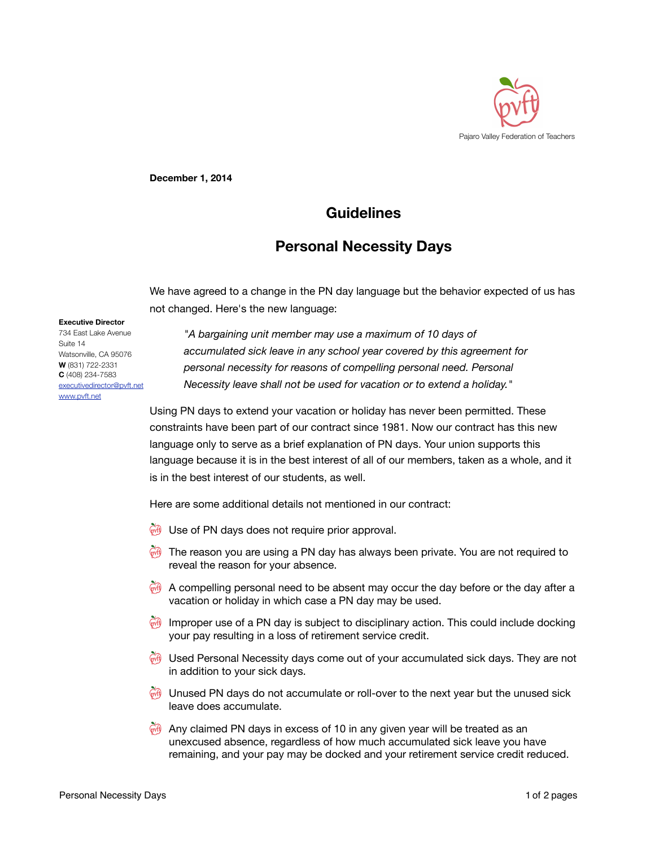

**December 1, 2014**

## **Guidelines**

## **Personal Necessity Days**

We have agreed to a change in the PN day language but the behavior expected of us has not changed. Here's the new language:

## **Executive Director**

734 East Lake Avenue Suite 14 Watsonville, CA 95076 **W** (831) 722-2331 **C** (408) 234-7583 [executivedirector@pvft.net](mailto:executivedirector@pvft.net) [www.pvft.net](http://www.pvft.net)

*"A bargaining unit member may use a maximum of 10 days of accumulated sick leave in any school year covered by this agreement for personal necessity for reasons of compelling personal need. Personal Necessity leave shall not be used for vacation or to extend a holiday."*

Using PN days to extend your vacation or holiday has never been permitted. These constraints have been part of our contract since 1981. Now our contract has this new language only to serve as a brief explanation of PN days. Your union supports this language because it is in the best interest of all of our members, taken as a whole, and it is in the best interest of our students, as well.

Here are some additional details not mentioned in our contract:

- **W** Use of PN days does not require prior approval.
- $\vec{m}$  The reason you are using a PN day has always been private. You are not required to reveal the reason for your absence.
- $\mathbb{R}^n$  A compelling personal need to be absent may occur the day before or the day after a vacation or holiday in which case a PN day may be used.
- Improper use of a PN day is subject to disciplinary action. This could include docking your pay resulting in a loss of retirement service credit.
- $\vec{v}$  Used Personal Necessity days come out of your accumulated sick days. They are not in addition to your sick days.
- Unused PN days do not accumulate or roll-over to the next year but the unused sick leave does accumulate.
- Any claimed PN days in excess of 10 in any given year will be treated as an unexcused absence, regardless of how much accumulated sick leave you have remaining, and your pay may be docked and your retirement service credit reduced.